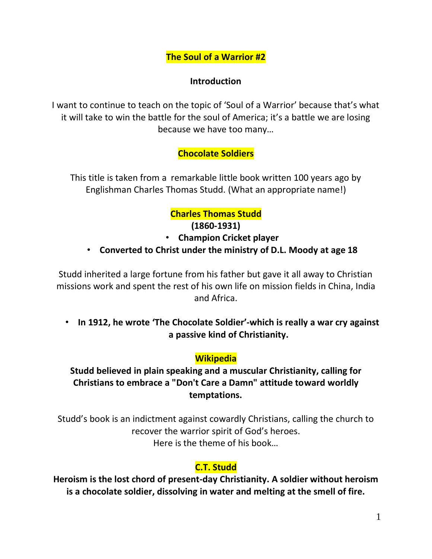**The Soul of a Warrior #2**

#### **Introduction**

I want to continue to teach on the topic of 'Soul of a Warrior' because that's what it will take to win the battle for the soul of America; it's a battle we are losing because we have too many…

# **Chocolate Soldiers**

This title is taken from a remarkable little book written 100 years ago by Englishman Charles Thomas Studd. (What an appropriate name!)

# **Charles Thomas Studd**

#### **(1860-1931)**

- **Champion Cricket player**
- **Converted to Christ under the ministry of D.L. Moody at age 18**

Studd inherited a large fortune from his father but gave it all away to Christian missions work and spent the rest of his own life on mission fields in China, India and Africa.

• **In 1912, he wrote 'The Chocolate Soldier'-which is really a war cry against a passive kind of Christianity.** 

## **Wikipedia**

# **Studd believed in plain speaking and a muscular Christianity, calling for Christians to embrace a "Don't Care a Damn" attitude toward worldly temptations.**

Studd's book is an indictment against cowardly Christians, calling the church to recover the warrior spirit of God's heroes. Here is the theme of his book…

# **C.T. Studd**

**Heroism is the lost chord of present-day Christianity. A soldier without heroism is a chocolate soldier, dissolving in water and melting at the smell of fire.**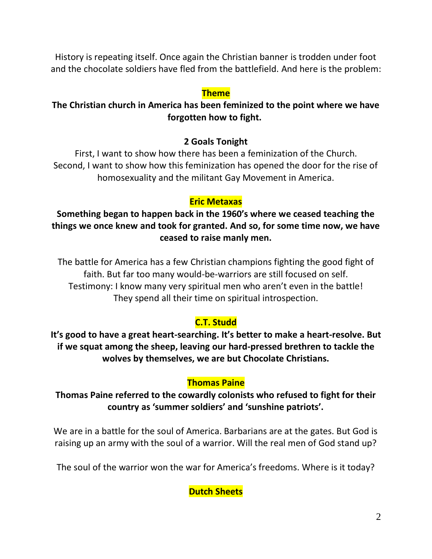History is repeating itself. Once again the Christian banner is trodden under foot and the chocolate soldiers have fled from the battlefield. And here is the problem:

#### **Theme**

## **The Christian church in America has been feminized to the point where we have forgotten how to fight.**

#### **2 Goals Tonight**

First, I want to show how there has been a feminization of the Church. Second, I want to show how this feminization has opened the door for the rise of homosexuality and the militant Gay Movement in America.

#### **Eric Metaxas**

**Something began to happen back in the 1960's where we ceased teaching the things we once knew and took for granted. And so, for some time now, we have ceased to raise manly men.** 

The battle for America has a few Christian champions fighting the good fight of faith. But far too many would-be-warriors are still focused on self. Testimony: I know many very spiritual men who aren't even in the battle! They spend all their time on spiritual introspection.

# **C.T. Studd**

**It's good to have a great heart-searching. It's better to make a heart-resolve. But if we squat among the sheep, leaving our hard-pressed brethren to tackle the wolves by themselves, we are but Chocolate Christians.**

## **Thomas Paine**

**Thomas Paine referred to the cowardly colonists who refused to fight for their country as 'summer soldiers' and 'sunshine patriots'.**

We are in a battle for the soul of America. Barbarians are at the gates. But God is raising up an army with the soul of a warrior. Will the real men of God stand up?

The soul of the warrior won the war for America's freedoms. Where is it today?

## **Dutch Sheets**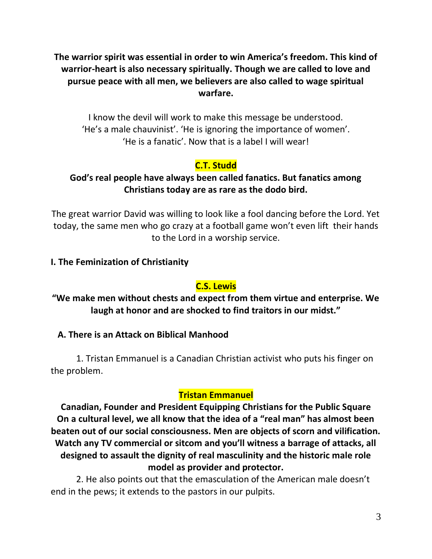**The warrior spirit was essential in order to win America's freedom. This kind of warrior-heart is also necessary spiritually. Though we are called to love and pursue peace with all men, we believers are also called to wage spiritual warfare.**

I know the devil will work to make this message be understood. 'He's a male chauvinist'. 'He is ignoring the importance of women'. 'He is a fanatic'. Now that is a label I will wear!

# **C.T. Studd**

#### **God's real people have always been called fanatics. But fanatics among Christians today are as rare as the dodo bird.**

The great warrior David was willing to look like a fool dancing before the Lord. Yet today, the same men who go crazy at a football game won't even lift their hands to the Lord in a worship service.

#### **I. The Feminization of Christianity**

## **C.S. Lewis**

**"We make men without chests and expect from them virtue and enterprise. We laugh at honor and are shocked to find traitors in our midst."**

## **A. There is an Attack on Biblical Manhood**

1. Tristan Emmanuel is a Canadian Christian activist who puts his finger on the problem.

## **Tristan Emmanuel**

**Canadian, Founder and President Equipping Christians for the Public Square On a cultural level, we all know that the idea of a "real man" has almost been beaten out of our social consciousness. Men are objects of scorn and vilification. Watch any TV commercial or sitcom and you'll witness a barrage of attacks, all designed to assault the dignity of real masculinity and the historic male role model as provider and protector.**

2. He also points out that the emasculation of the American male doesn't end in the pews; it extends to the pastors in our pulpits.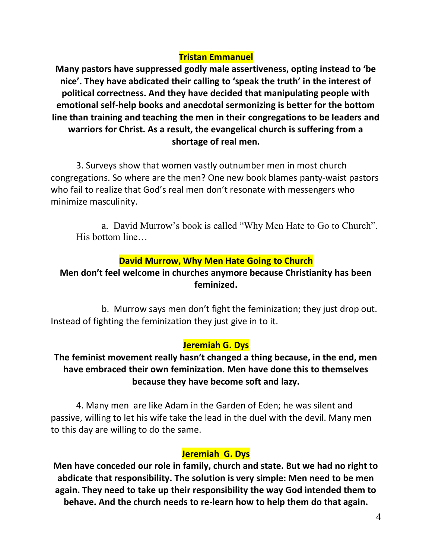## **Tristan Emmanuel**

**Many pastors have suppressed godly male assertiveness, opting instead to 'be nice'. They have abdicated their calling to 'speak the truth' in the interest of political correctness. And they have decided that manipulating people with emotional self-help books and anecdotal sermonizing is better for the bottom line than training and teaching the men in their congregations to be leaders and warriors for Christ. As a result, the evangelical church is suffering from a shortage of real men.**

3. Surveys show that women vastly outnumber men in most church congregations. So where are the men? One new book blames panty-waist pastors who fail to realize that God's real men don't resonate with messengers who minimize masculinity.

a. David Murrow's book is called "Why Men Hate to Go to Church". His bottom line…

#### **David Murrow, Why Men Hate Going to Church**

## **Men don't feel welcome in churches anymore because Christianity has been feminized.**

b. Murrow says men don't fight the feminization; they just drop out. Instead of fighting the feminization they just give in to it.

## **Jeremiah G. Dys**

**The feminist movement really hasn't changed a thing because, in the end, men have embraced their own feminization. Men have done this to themselves because they have become soft and lazy.**

4. Many men are like Adam in the Garden of Eden; he was silent and passive, willing to let his wife take the lead in the duel with the devil. Many men to this day are willing to do the same.

#### **Jeremiah G. Dys**

**Men have conceded our role in family, church and state. But we had no right to abdicate that responsibility. The solution is very simple: Men need to be men again. They need to take up their responsibility the way God intended them to behave. And the church needs to re-learn how to help them do that again.**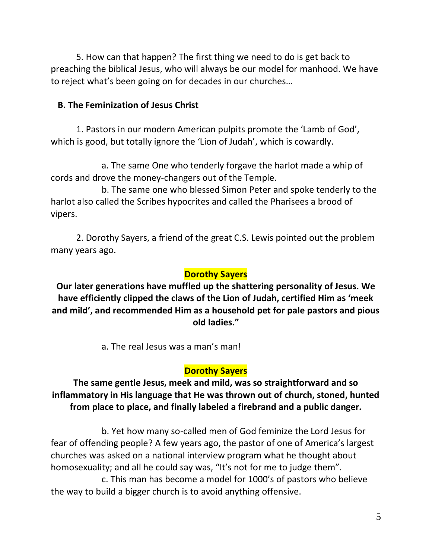5. How can that happen? The first thing we need to do is get back to preaching the biblical Jesus, who will always be our model for manhood. We have to reject what's been going on for decades in our churches…

#### **B. The Feminization of Jesus Christ**

1. Pastors in our modern American pulpits promote the 'Lamb of God', which is good, but totally ignore the 'Lion of Judah', which is cowardly.

a. The same One who tenderly forgave the harlot made a whip of cords and drove the money-changers out of the Temple.

b. The same one who blessed Simon Peter and spoke tenderly to the harlot also called the Scribes hypocrites and called the Pharisees a brood of vipers.

2. Dorothy Sayers, a friend of the great C.S. Lewis pointed out the problem many years ago.

#### **Dorothy Sayers**

**Our later generations have muffled up the shattering personality of Jesus. We have efficiently clipped the claws of the Lion of Judah, certified Him as 'meek and mild', and recommended Him as a household pet for pale pastors and pious old ladies."**

a. The real Jesus was a man's man!

## **Dorothy Sayers**

# **The same gentle Jesus, meek and mild, was so straightforward and so inflammatory in His language that He was thrown out of church, stoned, hunted from place to place, and finally labeled a firebrand and a public danger.**

b. Yet how many so-called men of God feminize the Lord Jesus for fear of offending people? A few years ago, the pastor of one of America's largest churches was asked on a national interview program what he thought about homosexuality; and all he could say was, "It's not for me to judge them".

c. This man has become a model for 1000's of pastors who believe the way to build a bigger church is to avoid anything offensive.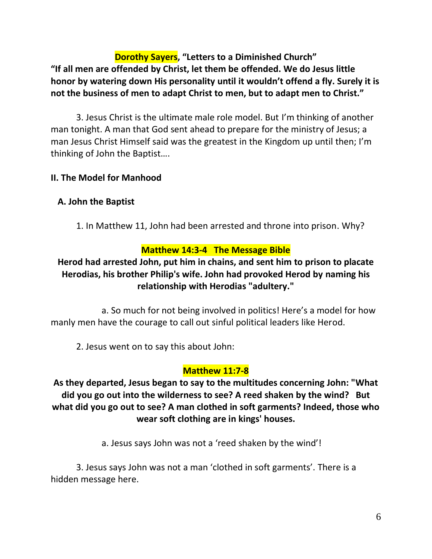**Dorothy Sayers, "Letters to a Diminished Church" "If all men are offended by Christ, let them be offended. We do Jesus little honor by watering down His personality until it wouldn't offend a fly. Surely it is not the business of men to adapt Christ to men, but to adapt men to Christ."**

3. Jesus Christ is the ultimate male role model. But I'm thinking of another man tonight. A man that God sent ahead to prepare for the ministry of Jesus; a man Jesus Christ Himself said was the greatest in the Kingdom up until then; I'm thinking of John the Baptist….

## **II. The Model for Manhood**

## **A. John the Baptist**

1. In Matthew 11, John had been arrested and throne into prison. Why?

#### **Matthew 14:3-4 The Message Bible**

# **Herod had arrested John, put him in chains, and sent him to prison to placate Herodias, his brother Philip's wife. John had provoked Herod by naming his relationship with Herodias "adultery."**

a. So much for not being involved in politics! Here's a model for how manly men have the courage to call out sinful political leaders like Herod.

2. Jesus went on to say this about John:

#### **Matthew 11:7-8**

**As they departed, Jesus began to say to the multitudes concerning John: "What did you go out into the wilderness to see? A reed shaken by the wind? But what did you go out to see? A man clothed in soft garments? Indeed, those who wear soft clothing are in kings' houses.** 

a. Jesus says John was not a 'reed shaken by the wind'!

3. Jesus says John was not a man 'clothed in soft garments'. There is a hidden message here.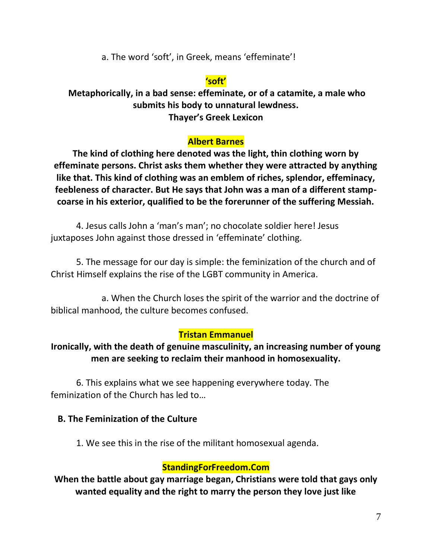a. The word 'soft', in Greek, means 'effeminate'!

## **'soft'**

**Metaphorically, in a bad sense: effeminate, or of a catamite, a male who submits his body to unnatural lewdness. Thayer's Greek Lexicon**

## **Albert Barnes**

**The kind of clothing here denoted was the light, thin clothing worn by effeminate persons. Christ asks them whether they were attracted by anything like that. This kind of clothing was an emblem of riches, splendor, effeminacy, feebleness of character. But He says that John was a man of a different stampcoarse in his exterior, qualified to be the forerunner of the suffering Messiah.** 

4. Jesus calls John a 'man's man'; no chocolate soldier here! Jesus juxtaposes John against those dressed in 'effeminate' clothing.

5. The message for our day is simple: the feminization of the church and of Christ Himself explains the rise of the LGBT community in America.

a. When the Church loses the spirit of the warrior and the doctrine of biblical manhood, the culture becomes confused.

## **Tristan Emmanuel**

## **Ironically, with the death of genuine masculinity, an increasing number of young men are seeking to reclaim their manhood in homosexuality.**

6. This explains what we see happening everywhere today. The feminization of the Church has led to…

#### **B. The Feminization of the Culture**

1. We see this in the rise of the militant homosexual agenda.

#### **StandingForFreedom.Com**

**When the battle about gay marriage began, Christians were told that gays only wanted equality and the right to marry the person they love just like**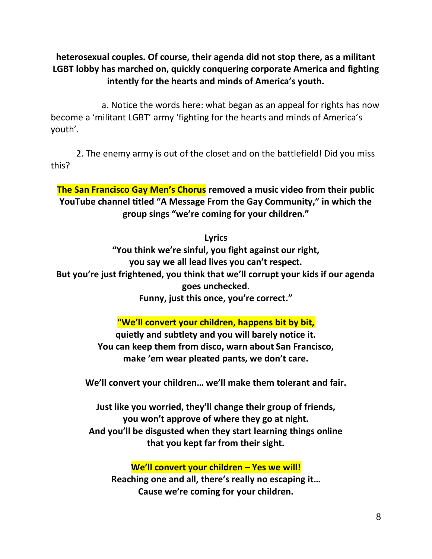**heterosexual couples. Of course, their agenda did not stop there, as a militant LGBT lobby has marched on, quickly conquering corporate America and fighting intently for the hearts and minds of America's youth.**

a. Notice the words here: what began as an appeal for rights has now become a 'militant LGBT' army 'fighting for the hearts and minds of America's youth'.

2. The enemy army is out of the closet and on the battlefield! Did you miss this?

**The San Francisco Gay Men's Chorus removed a music video from their public YouTube channel titled "A Message From the Gay Community," in which the group sings "we're coming for your children."**

**Lyrics**

**"You think we're sinful, you fight against our right, you say we all lead lives you can't respect. But you're just frightened, you think that we'll corrupt your kids if our agenda goes unchecked. Funny, just this once, you're correct."**

**"We'll convert your children, happens bit by bit,**

**quietly and subtlety and you will barely notice it. You can keep them from disco, warn about San Francisco, make 'em wear pleated pants, we don't care.**

**We'll convert your children… we'll make them tolerant and fair.**

**Just like you worried, they'll change their group of friends, you won't approve of where they go at night. And you'll be disgusted when they start learning things online that you kept far from their sight.**

**We'll convert your children – Yes we will!**

**Reaching one and all, there's really no escaping it… Cause we're coming for your children.**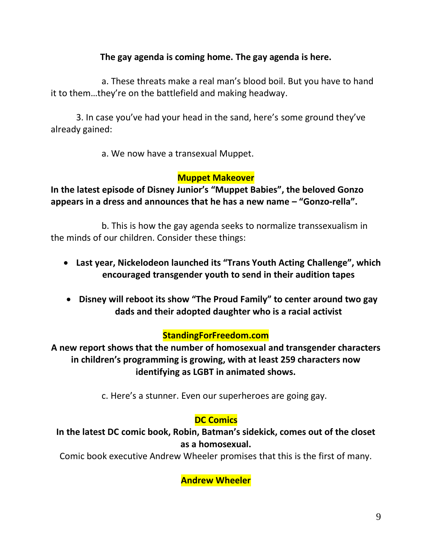#### **The gay agenda is coming home. The gay agenda is here.**

a. These threats make a real man's blood boil. But you have to hand it to them…they're on the battlefield and making headway.

3. In case you've had your head in the sand, here's some ground they've already gained:

a. We now have a transexual Muppet.

#### **Muppet Makeover**

**In the latest episode of Disney Junior's "Muppet Babies", the beloved Gonzo appears in a dress and announces that he has a new name – "Gonzo-rella".**

b. This is how the gay agenda seeks to normalize transsexualism in the minds of our children. Consider these things:

- **Last year, Nickelodeon launched its "Trans Youth Acting Challenge", which encouraged transgender youth to send in their audition tapes**
- **Disney will reboot its show "The Proud Family" to center around two gay dads and their adopted daughter who is a racial activist**

#### **StandingForFreedom.com**

**A new report shows that the number of homosexual and transgender characters in children's programming is growing, with at least 259 characters now identifying as LGBT in animated shows.**

c. Here's a stunner. Even our superheroes are going gay.

## **DC Comics**

**In the latest DC comic book, Robin, Batman's sidekick, comes out of the closet as a homosexual.**

Comic book executive Andrew Wheeler promises that this is the first of many.

**Andrew Wheeler**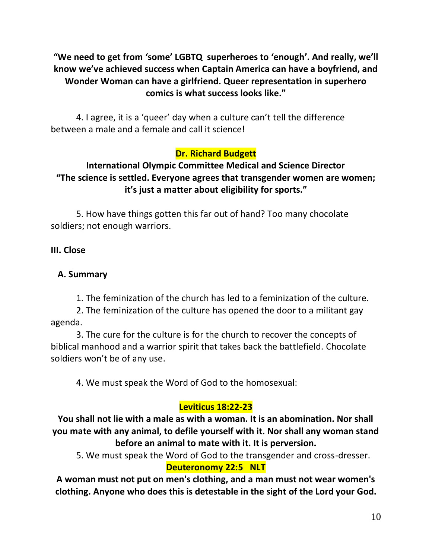**"We need to get from 'some' LGBTQ superheroes to 'enough'. And really, we'll know we've achieved success when Captain America can have a boyfriend, and Wonder Woman can have a girlfriend. Queer representation in superhero comics is what success looks like."**

4. I agree, it is a 'queer' day when a culture can't tell the difference between a male and a female and call it science!

# **Dr. Richard Budgett**

## **International Olympic Committee Medical and Science Director "The science is settled. Everyone agrees that transgender women are women; it's just a matter about eligibility for sports."**

5. How have things gotten this far out of hand? Too many chocolate soldiers; not enough warriors.

#### **III. Close**

#### **A. Summary**

1. The feminization of the church has led to a feminization of the culture.

2. The feminization of the culture has opened the door to a militant gay agenda.

3. The cure for the culture is for the church to recover the concepts of biblical manhood and a warrior spirit that takes back the battlefield. Chocolate soldiers won't be of any use.

4. We must speak the Word of God to the homosexual:

# **Leviticus 18:22-23**

**You shall not lie with a male as with a woman. It is an abomination. Nor shall you mate with any animal, to defile yourself with it. Nor shall any woman stand before an animal to mate with it. It is perversion.** 

5. We must speak the Word of God to the transgender and cross-dresser.

#### **Deuteronomy 22:5 NLT**

**A woman must not put on men's clothing, and a man must not wear women's clothing. Anyone who does this is detestable in the sight of the Lord your God.**